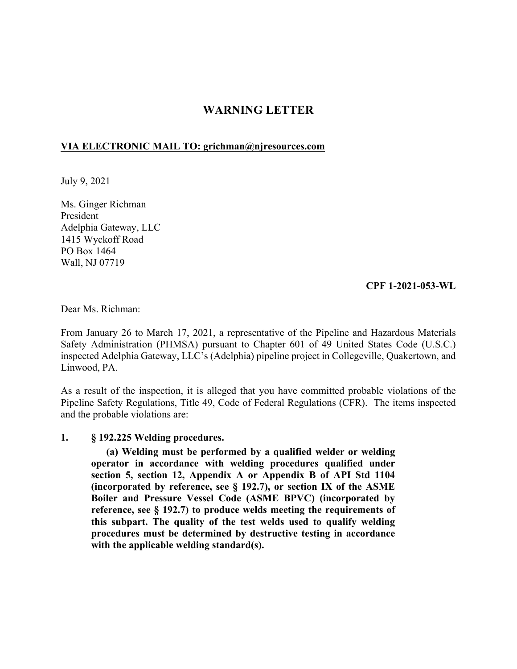# **WARNING LETTER**

### **VIA ELECTRONIC MAIL TO: [grichman@njresources.com](mailto:grichman@njresources.com)**

July 9, 2021

Ms. Ginger Richman President Adelphia Gateway, LLC 1415 Wyckoff Road PO Box 1464 Wall, NJ 07719

#### **CPF 1-2021-053-WL**

Dear Ms. Richman:

From January 26 to March 17, 2021, a representative of the Pipeline and Hazardous Materials Safety Administration (PHMSA) pursuant to Chapter 601 of 49 United States Code (U.S.C.) inspected Adelphia Gateway, LLC's (Adelphia) pipeline project in Collegeville, Quakertown, and Linwood, PA.

As a result of the inspection, it is alleged that you have committed probable violations of the Pipeline Safety Regulations, Title 49, Code of Federal Regulations (CFR). The items inspected and the probable violations are:

#### **1. § 192.225 Welding procedures.**

**(a) Welding must be performed by a qualified welder or welding operator in accordance with welding procedures qualified under section 5, section 12, Appendix A or Appendix B of API Std 1104 (incorporated by reference, see § 192.7), or section IX of the ASME Boiler and Pressure Vessel Code (ASME BPVC) (incorporated by reference, see § 192.7) to produce welds meeting the requirements of this subpart. The quality of the test welds used to qualify welding procedures must be determined by destructive testing in accordance with the applicable welding standard(s).**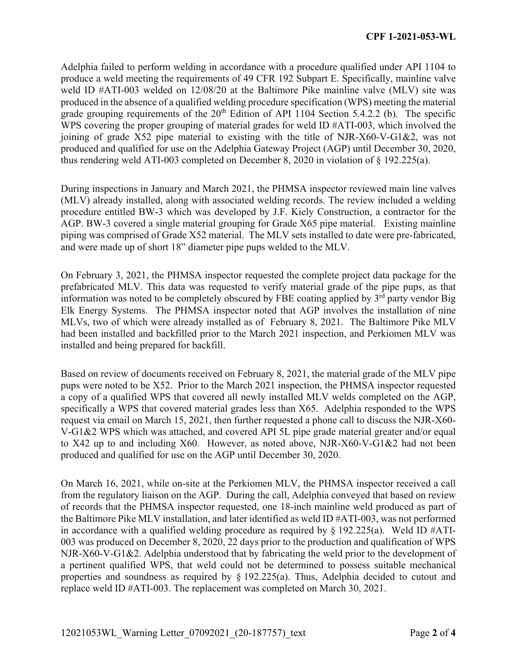Adelphia failed to perform welding in accordance with a procedure qualified under API 1104 to produce a weld meeting the requirements of 49 CFR 192 Subpart E. Specifically, mainline valve weld ID #ATI-003 welded on 12/08/20 at the Baltimore Pike mainline valve (MLV) site was produced in the absence of a qualified welding procedure specification (WPS) meeting the material grade grouping requirements of the  $20<sup>th</sup>$  Edition of API 1104 Section 5.4.2.2 (b). The specific WPS covering the proper grouping of material grades for weld ID #ATI-003, which involved the joining of grade X52 pipe material to existing with the title of NJR-X60-V-G1&2, was not produced and qualified for use on the Adelphia Gateway Project (AGP) until December 30, 2020, thus rendering weld ATI-003 completed on December 8, 2020 in violation of § 192.225(a).

During inspections in January and March 2021, the PHMSA inspector reviewed main line valves (MLV) already installed, along with associated welding records. The review included a welding procedure entitled BW-3 which was developed by J.F. Kiely Construction, a contractor for the AGP. BW-3 covered a single material grouping for Grade X65 pipe material. Existing mainline piping was comprised of Grade X52 material. The MLV sets installed to date were pre-fabricated, and were made up of short 18" diameter pipe pups welded to the MLV.

On February 3, 2021, the PHMSA inspector requested the complete project data package for the prefabricated MLV. This data was requested to verify material grade of the pipe pups, as that information was noted to be completely obscured by FBE coating applied by  $3<sup>rd</sup>$  party vendor Big Elk Energy Systems. The PHMSA inspector noted that AGP involves the installation of nine MLVs, two of which were already installed as of February 8, 2021. The Baltimore Pike MLV had been installed and backfilled prior to the March 2021 inspection, and Perkiomen MLV was installed and being prepared for backfill.

Based on review of documents received on February 8, 2021, the material grade of the MLV pipe pups were noted to be X52. Prior to the March 2021 inspection, the PHMSA inspector requested a copy of a qualified WPS that covered all newly installed MLV welds completed on the AGP, specifically a WPS that covered material grades less than X65. Adelphia responded to the WPS request via email on March 15, 2021, then further requested a phone call to discuss the NJR-X60- V-G1&2 WPS which was attached, and covered API 5L pipe grade material greater and/or equal to X42 up to and including X60. However, as noted above, NJR-X60-V-G1&2 had not been produced and qualified for use on the AGP until December 30, 2020.

On March 16, 2021, while on-site at the Perkiomen MLV, the PHMSA inspector received a call from the regulatory liaison on the AGP. During the call, Adelphia conveyed that based on review of records that the PHMSA inspector requested, one 18-inch mainline weld produced as part of the Baltimore Pike MLV installation, and later identified as weld ID #ATI-003, was not performed in accordance with a qualified welding procedure as required by  $\S$  192.225(a). Weld ID #ATI-003 was produced on December 8, 2020, 22 days prior to the production and qualification of WPS NJR-X60-V-G1&2. Adelphia understood that by fabricating the weld prior to the development of a pertinent qualified WPS, that weld could not be determined to possess suitable mechanical properties and soundness as required by § 192.225(a). Thus, Adelphia decided to cutout and replace weld ID #ATI-003. The replacement was completed on March 30, 2021.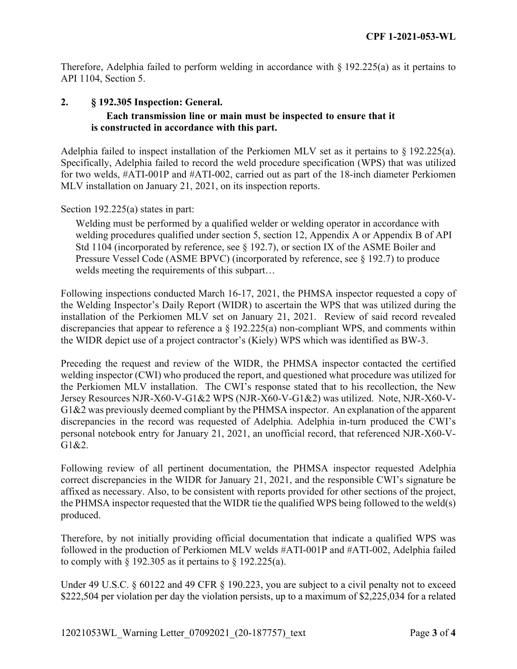Therefore, Adelphia failed to perform welding in accordance with  $\S$  192.225(a) as it pertains to API 1104, Section 5.

## **2. § 192.305 Inspection: General. Each transmission line or main must be inspected to ensure that it is constructed in accordance with this part.**

Adelphia failed to inspect installation of the Perkiomen MLV set as it pertains to § 192.225(a). Specifically, Adelphia failed to record the weld procedure specification (WPS) that was utilized for two welds, #ATI-001P and #ATI-002, carried out as part of the 18-inch diameter Perkiomen MLV installation on January 21, 2021, on its inspection reports.

Section 192.225(a) states in part:

Welding must be performed by a qualified welder or welding operator in accordance with welding procedures qualified under section 5, section 12, Appendix A or Appendix B of API Std 1104 (incorporated by reference, see  $\S$  192.7), or section IX of the ASME Boiler and Pressure Vessel Code (ASME BPVC) (incorporated by reference, see § 192.7) to produce welds meeting the requirements of this subpart…

Following inspections conducted March 16-17, 2021, the PHMSA inspector requested a copy of the Welding Inspector's Daily Report (WIDR) to ascertain the WPS that was utilized during the installation of the Perkiomen MLV set on January 21, 2021. Review of said record revealed discrepancies that appear to reference a § 192.225(a) non-compliant WPS, and comments within the WIDR depict use of a project contractor's (Kiely) WPS which was identified as BW-3.

Preceding the request and review of the WIDR, the PHMSA inspector contacted the certified welding inspector (CWI) who produced the report, and questioned what procedure was utilized for the Perkiomen MLV installation. The CWI's response stated that to his recollection, the New Jersey Resources NJR-X60-V-G1&2 WPS (NJR-X60-V-G1&2) was utilized. Note, NJR-X60-V-G1&2 was previously deemed compliant by the PHMSA inspector. An explanation of the apparent discrepancies in the record was requested of Adelphia. Adelphia in-turn produced the CWI's personal notebook entry for January 21, 2021, an unofficial record, that referenced NJR-X60-V-G1&2.

Following review of all pertinent documentation, the PHMSA inspector requested Adelphia correct discrepancies in the WIDR for January 21, 2021, and the responsible CWI's signature be affixed as necessary. Also, to be consistent with reports provided for other sections of the project, the PHMSA inspector requested that the WIDR tie the qualified WPS being followed to the weld(s) produced.

Therefore, by not initially providing official documentation that indicate a qualified WPS was followed in the production of Perkiomen MLV welds #ATI-001P and #ATI-002, Adelphia failed to comply with  $\S$  192.305 as it pertains to  $\S$  192.225(a).

Under 49 U.S.C. § 60122 and 49 CFR § 190.223, you are subject to a civil penalty not to exceed \$222,504 per violation per day the violation persists, up to a maximum of \$2,225,034 for a related